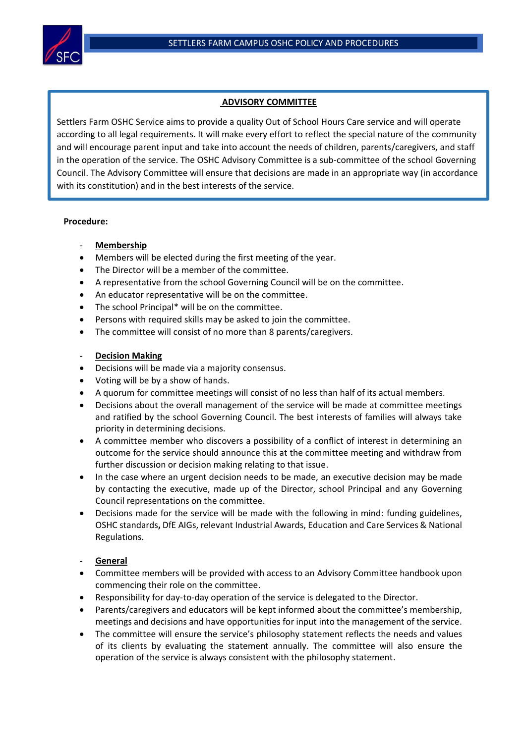

# **ADVISORY COMMITTEE**

Settlers Farm OSHC Service aims to provide a quality Out of School Hours Care service and will operate according to all legal requirements. It will make every effort to reflect the special nature of the community and will encourage parent input and take into account the needs of children, parents/caregivers, and staff in the operation of the service. The OSHC Advisory Committee is a sub-committee of the school Governing Council. The Advisory Committee will ensure that decisions are made in an appropriate way (in accordance with its constitution) and in the best interests of the service.

## **Procedure:**

- **Membership**
- Members will be elected during the first meeting of the year.
- The Director will be a member of the committee.
- A representative from the school Governing Council will be on the committee.
- An educator representative will be on the committee.
- The school Principal\* will be on the committee.
- Persons with required skills may be asked to join the committee.
- The committee will consist of no more than 8 parents/caregivers.

## **Decision Making**

- Decisions will be made via a majority consensus.
- Voting will be by a show of hands.
- A quorum for committee meetings will consist of no less than half of its actual members.
- Decisions about the overall management of the service will be made at committee meetings and ratified by the school Governing Council. The best interests of families will always take priority in determining decisions.
- A committee member who discovers a possibility of a conflict of interest in determining an outcome for the service should announce this at the committee meeting and withdraw from further discussion or decision making relating to that issue.
- In the case where an urgent decision needs to be made, an executive decision may be made by contacting the executive, made up of the Director, school Principal and any Governing Council representations on the committee.
- Decisions made for the service will be made with the following in mind: funding guidelines, OSHC standards**,** DfE AIGs, relevant Industrial Awards, Education and Care Services & National Regulations.

## - **General**

- Committee members will be provided with access to an Advisory Committee handbook upon commencing their role on the committee.
- Responsibility for day-to-day operation of the service is delegated to the Director.
- Parents/caregivers and educators will be kept informed about the committee's membership, meetings and decisions and have opportunities for input into the management of the service.
- The committee will ensure the service's philosophy statement reflects the needs and values of its clients by evaluating the statement annually. The committee will also ensure the operation of the service is always consistent with the philosophy statement.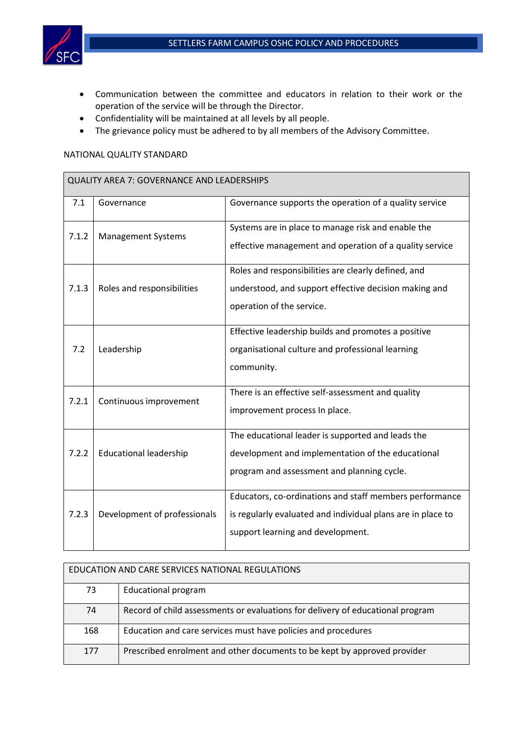

- Communication between the committee and educators in relation to their work or the operation of the service will be through the Director.
- Confidentiality will be maintained at all levels by all people.
- The grievance policy must be adhered to by all members of the Advisory Committee.

## NATIONAL QUALITY STANDARD

| QUALITY AREA 7: GOVERNANCE AND LEADERSHIPS |                               |                                                                                                                                                             |  |  |
|--------------------------------------------|-------------------------------|-------------------------------------------------------------------------------------------------------------------------------------------------------------|--|--|
| 7.1                                        | Governance                    | Governance supports the operation of a quality service                                                                                                      |  |  |
| 7.1.2                                      | <b>Management Systems</b>     | Systems are in place to manage risk and enable the<br>effective management and operation of a quality service                                               |  |  |
| 7.1.3                                      | Roles and responsibilities    | Roles and responsibilities are clearly defined, and<br>understood, and support effective decision making and<br>operation of the service.                   |  |  |
| 7.2                                        | Leadership                    | Effective leadership builds and promotes a positive<br>organisational culture and professional learning<br>community.                                       |  |  |
| 7.2.1                                      | Continuous improvement        | There is an effective self-assessment and quality<br>improvement process In place.                                                                          |  |  |
| 7.2.2                                      | <b>Educational leadership</b> | The educational leader is supported and leads the<br>development and implementation of the educational<br>program and assessment and planning cycle.        |  |  |
| 7.2.3                                      | Development of professionals  | Educators, co-ordinations and staff members performance<br>is regularly evaluated and individual plans are in place to<br>support learning and development. |  |  |

| EDUCATION AND CARE SERVICES NATIONAL REGULATIONS |                                                                                |  |  |  |
|--------------------------------------------------|--------------------------------------------------------------------------------|--|--|--|
| 73                                               | <b>Educational program</b>                                                     |  |  |  |
| 74                                               | Record of child assessments or evaluations for delivery of educational program |  |  |  |
| 168                                              | Education and care services must have policies and procedures                  |  |  |  |
| 177                                              | Prescribed enrolment and other documents to be kept by approved provider       |  |  |  |